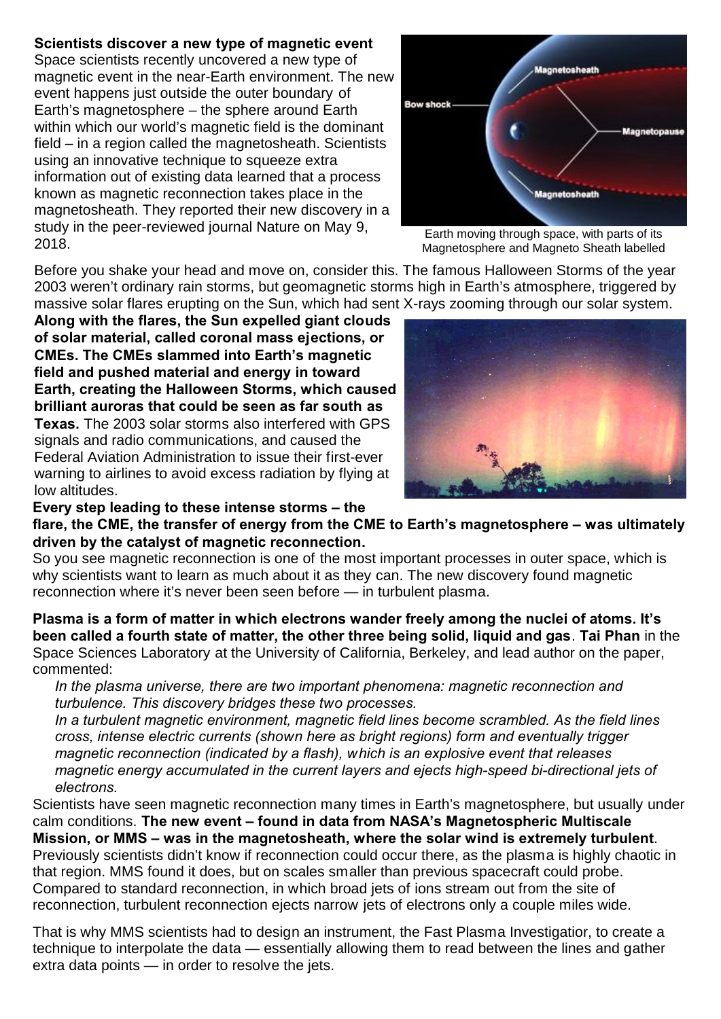## **Scientists discover a new type of magnetic event**

Space scientists recently uncovered a new type of magnetic event in the near-Earth environment. The new event happens just outside the outer boundary of Earth's magnetosphere – the sphere around Earth within which our world's magnetic field is the dominant field – in a region called the magnetosheath. Scientists using an innovative technique to squeeze extra information out of existing data learned that a process known as magnetic reconnection takes place in the magnetosheath. They reported their new discovery in a study in the peer-reviewed journal Nature on May 9, 2018.



Earth moving through space, with parts of its Magnetosphere and Magneto Sheath labelled

Before you shake your head and move on, consider this. The famous Halloween Storms of the year 2003 weren't ordinary rain storms, but geomagnetic storms high in Earth's atmosphere, triggered by massive solar flares erupting on the Sun, which had sent X-rays zooming through our solar system.

**Along with the flares, the Sun expelled giant clouds of solar material, called coronal mass ejections, or CMEs. The CMEs slammed into Earth's magnetic field and pushed material and energy in toward Earth, creating the Halloween Storms, which caused brilliant auroras that could be seen as far south as Texas.** The 2003 solar storms also interfered with GPS signals and radio communications, and caused the Federal Aviation Administration to issue their first-ever warning to airlines to avoid excess radiation by flying at low altitudes.



**Every step leading to these intense storms – the flare, the CME, the transfer of energy from the CME to Earth's magnetosphere – was ultimately driven by the catalyst of magnetic reconnection.** 

So you see magnetic reconnection is one of the most important processes in outer space, which is why scientists want to learn as much about it as they can. The new discovery found magnetic reconnection where it's never been seen before — in turbulent plasma.

**Plasma is a form of matter in which electrons wander freely among the nuclei of atoms. It's been called a fourth state of matter, the other three being solid, liquid and gas**. **Tai Phan** in the Space Sciences Laboratory at the University of California, Berkeley, and lead author on the paper, commented:

*In the plasma universe, there are two important phenomena: magnetic reconnection and turbulence. This discovery bridges these two processes.* 

*In a turbulent magnetic environment, magnetic field lines become scrambled. As the field lines cross, intense electric currents (shown here as bright regions) form and eventually trigger magnetic reconnection (indicated by a flash), which is an explosive event that releases magnetic energy accumulated in the current layers and ejects high-speed bi-directional jets of electrons.*

Scientists have seen magnetic reconnection many times in Earth's magnetosphere, but usually under calm conditions. **The new event – found in data from NASA's Magnetospheric Multiscale Mission, or MMS – was in the magnetosheath, where the solar wind is extremely turbulent**. Previously scientists didn't know if reconnection could occur there, as the plasma is highly chaotic in that region. MMS found it does, but on scales smaller than previous spacecraft could probe. Compared to standard reconnection, in which broad jets of ions stream out from the site of reconnection, turbulent reconnection ejects narrow jets of electrons only a couple miles wide.

That is why MMS scientists had to design an instrument, the Fast Plasma Investigatior, to create a technique to interpolate the data — essentially allowing them to read between the lines and gather extra data points — in order to resolve the jets.